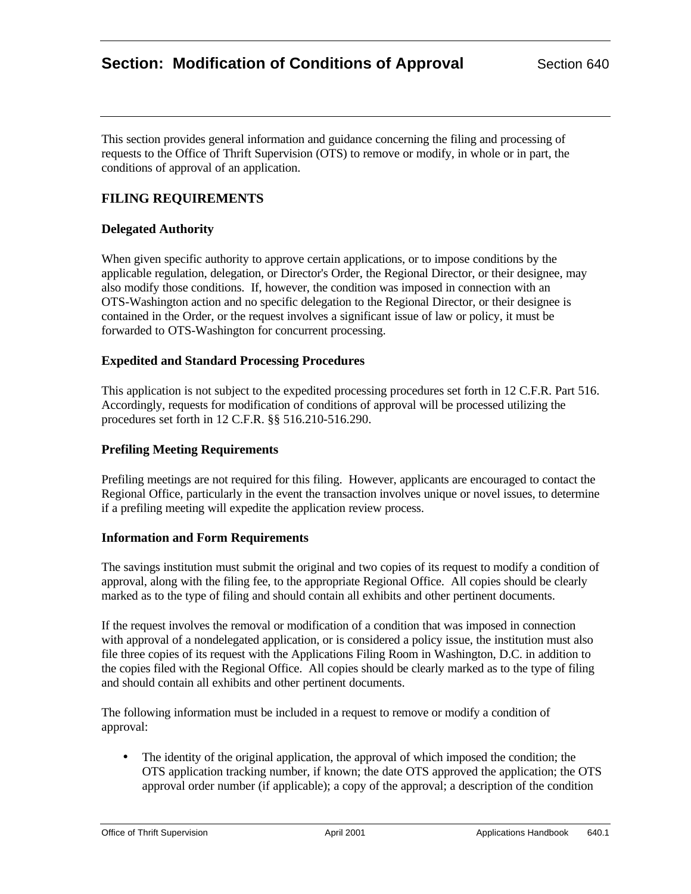This section provides general information and guidance concerning the filing and processing of requests to the Office of Thrift Supervision (OTS) to remove or modify, in whole or in part, the conditions of approval of an application.

# **FILING REQUIREMENTS**

## **Delegated Authority**

When given specific authority to approve certain applications, or to impose conditions by the applicable regulation, delegation, or Director's Order, the Regional Director, or their designee, may also modify those conditions. If, however, the condition was imposed in connection with an OTS-Washington action and no specific delegation to the Regional Director, or their designee is contained in the Order, or the request involves a significant issue of law or policy, it must be forwarded to OTS-Washington for concurrent processing.

### **Expedited and Standard Processing Procedures**

This application is not subject to the expedited processing procedures set forth in 12 C.F.R. Part 516. Accordingly, requests for modification of conditions of approval will be processed utilizing the procedures set forth in 12 C.F.R. §§ 516.210-516.290.

## **Prefiling Meeting Requirements**

Prefiling meetings are not required for this filing. However, applicants are encouraged to contact the Regional Office, particularly in the event the transaction involves unique or novel issues, to determine if a prefiling meeting will expedite the application review process.

### **Information and Form Requirements**

The savings institution must submit the original and two copies of its request to modify a condition of approval, along with the filing fee, to the appropriate Regional Office. All copies should be clearly marked as to the type of filing and should contain all exhibits and other pertinent documents.

If the request involves the removal or modification of a condition that was imposed in connection with approval of a nondelegated application, or is considered a policy issue, the institution must also file three copies of its request with the Applications Filing Room in Washington, D.C. in addition to the copies filed with the Regional Office. All copies should be clearly marked as to the type of filing and should contain all exhibits and other pertinent documents.

The following information must be included in a request to remove or modify a condition of approval:

• The identity of the original application, the approval of which imposed the condition; the OTS application tracking number, if known; the date OTS approved the application; the OTS approval order number (if applicable); a copy of the approval; a description of the condition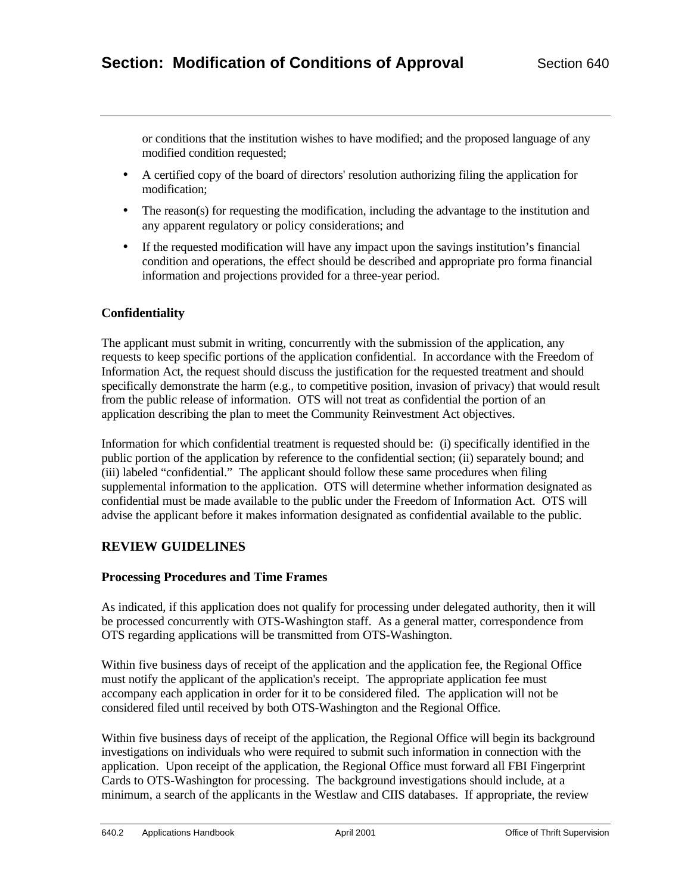or conditions that the institution wishes to have modified; and the proposed language of any modified condition requested;

- A certified copy of the board of directors' resolution authorizing filing the application for modification;
- The reason(s) for requesting the modification, including the advantage to the institution and any apparent regulatory or policy considerations; and
- If the requested modification will have any impact upon the savings institution's financial condition and operations, the effect should be described and appropriate pro forma financial information and projections provided for a three-year period.

## **Confidentiality**

The applicant must submit in writing, concurrently with the submission of the application, any requests to keep specific portions of the application confidential. In accordance with the Freedom of Information Act, the request should discuss the justification for the requested treatment and should specifically demonstrate the harm (e.g., to competitive position, invasion of privacy) that would result from the public release of information. OTS will not treat as confidential the portion of an application describing the plan to meet the Community Reinvestment Act objectives.

Information for which confidential treatment is requested should be: (i) specifically identified in the public portion of the application by reference to the confidential section; (ii) separately bound; and (iii) labeled "confidential." The applicant should follow these same procedures when filing supplemental information to the application. OTS will determine whether information designated as confidential must be made available to the public under the Freedom of Information Act. OTS will advise the applicant before it makes information designated as confidential available to the public.

### **REVIEW GUIDELINES**

#### **Processing Procedures and Time Frames**

As indicated, if this application does not qualify for processing under delegated authority, then it will be processed concurrently with OTS-Washington staff. As a general matter, correspondence from OTS regarding applications will be transmitted from OTS-Washington.

Within five business days of receipt of the application and the application fee, the Regional Office must notify the applicant of the application's receipt. The appropriate application fee must accompany each application in order for it to be considered filed. The application will not be considered filed until received by both OTS-Washington and the Regional Office.

Within five business days of receipt of the application, the Regional Office will begin its background investigations on individuals who were required to submit such information in connection with the application. Upon receipt of the application, the Regional Office must forward all FBI Fingerprint Cards to OTS-Washington for processing. The background investigations should include, at a minimum, a search of the applicants in the Westlaw and CIIS databases. If appropriate, the review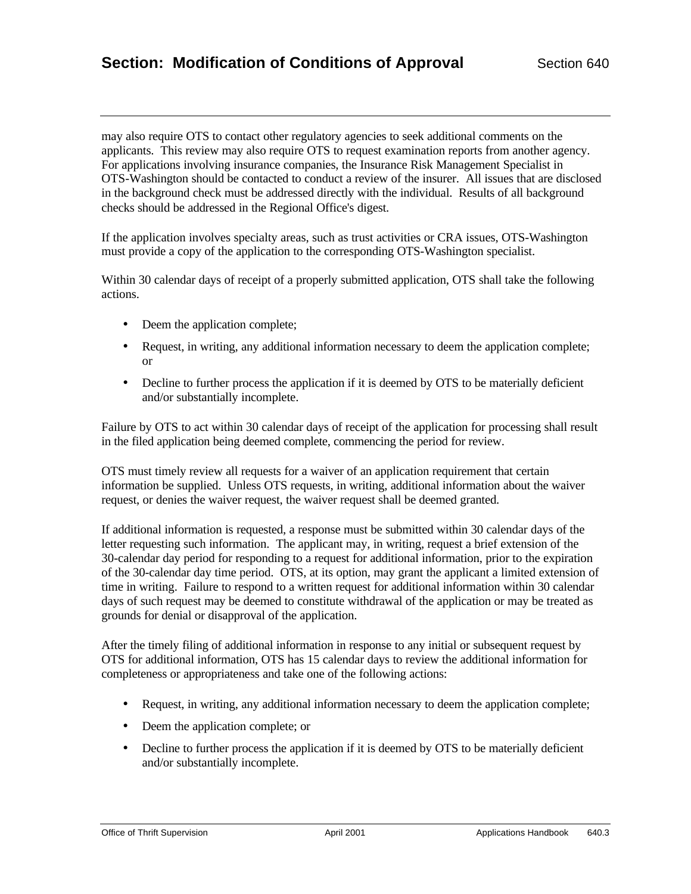may also require OTS to contact other regulatory agencies to seek additional comments on the applicants. This review may also require OTS to request examination reports from another agency. For applications involving insurance companies, the Insurance Risk Management Specialist in OTS-Washington should be contacted to conduct a review of the insurer. All issues that are disclosed in the background check must be addressed directly with the individual. Results of all background checks should be addressed in the Regional Office's digest.

If the application involves specialty areas, such as trust activities or CRA issues, OTS-Washington must provide a copy of the application to the corresponding OTS-Washington specialist.

Within 30 calendar days of receipt of a properly submitted application, OTS shall take the following actions.

- Deem the application complete;
- Request, in writing, any additional information necessary to deem the application complete; or
- Decline to further process the application if it is deemed by OTS to be materially deficient and/or substantially incomplete.

Failure by OTS to act within 30 calendar days of receipt of the application for processing shall result in the filed application being deemed complete, commencing the period for review.

OTS must timely review all requests for a waiver of an application requirement that certain information be supplied. Unless OTS requests, in writing, additional information about the waiver request, or denies the waiver request, the waiver request shall be deemed granted.

If additional information is requested, a response must be submitted within 30 calendar days of the letter requesting such information. The applicant may, in writing, request a brief extension of the 30-calendar day period for responding to a request for additional information, prior to the expiration of the 30-calendar day time period. OTS, at its option, may grant the applicant a limited extension of time in writing. Failure to respond to a written request for additional information within 30 calendar days of such request may be deemed to constitute withdrawal of the application or may be treated as grounds for denial or disapproval of the application.

After the timely filing of additional information in response to any initial or subsequent request by OTS for additional information, OTS has 15 calendar days to review the additional information for completeness or appropriateness and take one of the following actions:

- Request, in writing, any additional information necessary to deem the application complete;
- Deem the application complete; or
- Decline to further process the application if it is deemed by OTS to be materially deficient and/or substantially incomplete.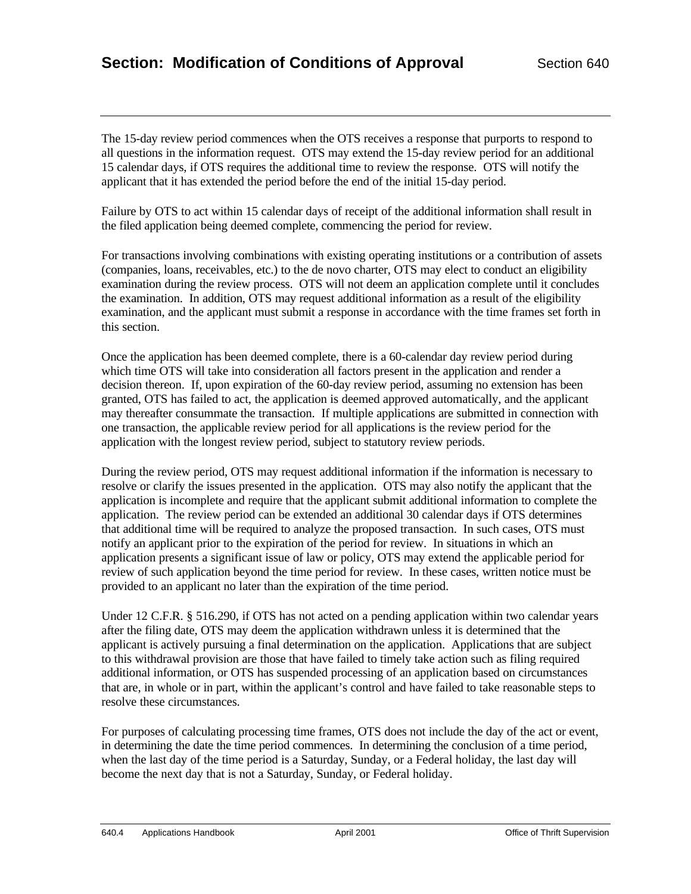The 15-day review period commences when the OTS receives a response that purports to respond to all questions in the information request. OTS may extend the 15-day review period for an additional 15 calendar days, if OTS requires the additional time to review the response. OTS will notify the applicant that it has extended the period before the end of the initial 15-day period.

Failure by OTS to act within 15 calendar days of receipt of the additional information shall result in the filed application being deemed complete, commencing the period for review.

For transactions involving combinations with existing operating institutions or a contribution of assets (companies, loans, receivables, etc.) to the de novo charter, OTS may elect to conduct an eligibility examination during the review process. OTS will not deem an application complete until it concludes the examination. In addition, OTS may request additional information as a result of the eligibility examination, and the applicant must submit a response in accordance with the time frames set forth in this section.

Once the application has been deemed complete, there is a 60-calendar day review period during which time OTS will take into consideration all factors present in the application and render a decision thereon. If, upon expiration of the 60-day review period, assuming no extension has been granted, OTS has failed to act, the application is deemed approved automatically, and the applicant may thereafter consummate the transaction. If multiple applications are submitted in connection with one transaction, the applicable review period for all applications is the review period for the application with the longest review period, subject to statutory review periods.

During the review period, OTS may request additional information if the information is necessary to resolve or clarify the issues presented in the application. OTS may also notify the applicant that the application is incomplete and require that the applicant submit additional information to complete the application. The review period can be extended an additional 30 calendar days if OTS determines that additional time will be required to analyze the proposed transaction. In such cases, OTS must notify an applicant prior to the expiration of the period for review. In situations in which an application presents a significant issue of law or policy, OTS may extend the applicable period for review of such application beyond the time period for review. In these cases, written notice must be provided to an applicant no later than the expiration of the time period.

Under 12 C.F.R. § 516.290, if OTS has not acted on a pending application within two calendar years after the filing date, OTS may deem the application withdrawn unless it is determined that the applicant is actively pursuing a final determination on the application. Applications that are subject to this withdrawal provision are those that have failed to timely take action such as filing required additional information, or OTS has suspended processing of an application based on circumstances that are, in whole or in part, within the applicant's control and have failed to take reasonable steps to resolve these circumstances.

For purposes of calculating processing time frames, OTS does not include the day of the act or event, in determining the date the time period commences. In determining the conclusion of a time period, when the last day of the time period is a Saturday, Sunday, or a Federal holiday, the last day will become the next day that is not a Saturday, Sunday, or Federal holiday.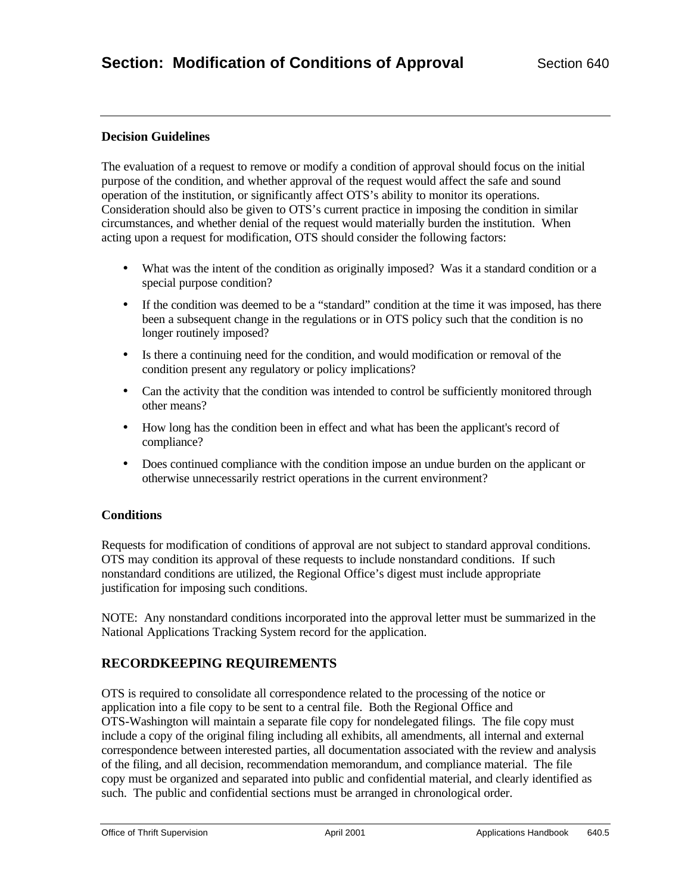## **Decision Guidelines**

The evaluation of a request to remove or modify a condition of approval should focus on the initial purpose of the condition, and whether approval of the request would affect the safe and sound operation of the institution, or significantly affect OTS's ability to monitor its operations. Consideration should also be given to OTS's current practice in imposing the condition in similar circumstances, and whether denial of the request would materially burden the institution. When acting upon a request for modification, OTS should consider the following factors:

- What was the intent of the condition as originally imposed? Was it a standard condition or a special purpose condition?
- If the condition was deemed to be a "standard" condition at the time it was imposed, has there been a subsequent change in the regulations or in OTS policy such that the condition is no longer routinely imposed?
- Is there a continuing need for the condition, and would modification or removal of the condition present any regulatory or policy implications?
- Can the activity that the condition was intended to control be sufficiently monitored through other means?
- How long has the condition been in effect and what has been the applicant's record of compliance?
- Does continued compliance with the condition impose an undue burden on the applicant or otherwise unnecessarily restrict operations in the current environment?

## **Conditions**

Requests for modification of conditions of approval are not subject to standard approval conditions. OTS may condition its approval of these requests to include nonstandard conditions. If such nonstandard conditions are utilized, the Regional Office's digest must include appropriate justification for imposing such conditions.

NOTE: Any nonstandard conditions incorporated into the approval letter must be summarized in the National Applications Tracking System record for the application.

## **RECORDKEEPING REQUIREMENTS**

OTS is required to consolidate all correspondence related to the processing of the notice or application into a file copy to be sent to a central file. Both the Regional Office and OTS-Washington will maintain a separate file copy for nondelegated filings. The file copy must include a copy of the original filing including all exhibits, all amendments, all internal and external correspondence between interested parties, all documentation associated with the review and analysis of the filing, and all decision, recommendation memorandum, and compliance material. The file copy must be organized and separated into public and confidential material, and clearly identified as such. The public and confidential sections must be arranged in chronological order.